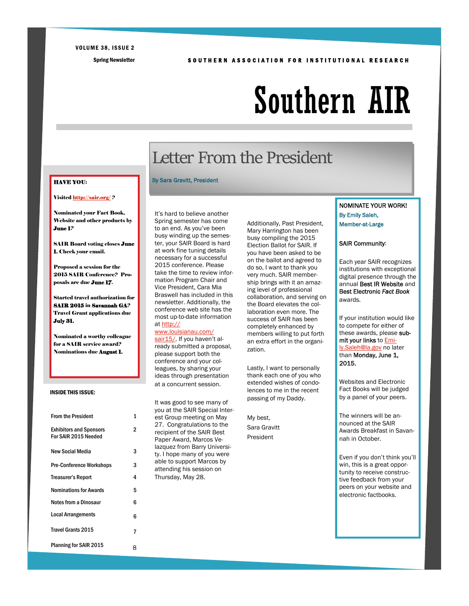#### VOLUME 38, ISSUE 2

#### Spring Newsletter SOUTHERN ASSOCIATION FOR INSTITUTIONAL RESEARCH

# Southern AIR

# Letter From the President

#### By Sara Gravitt, President

It's hard to believe another Spring semester has come to an end. As you've been busy winding up the semester, your SAIR Board is hard at work fine tuning details necessary for a successful 2015 conference. Please take the time to review information Program Chair and Vice President, Cara Mia Braswell has included in this newsletter. Additionally, the conference web site has the most up-to-date information at http://

### www.louisianau.com/ sair15/. If you haven't al-

ready submitted a proposal, please support both the conference and your colleagues, by sharing your ideas through presentation at a concurrent session.

It was good to see many of you at the SAIR Special Interest Group meeting on May 27. Congratulations to the recipient of the SAIR Best Paper Award, Marcos Velazquez from Barry University. I hope many of you were able to support Marcos by attending his session on Thursday, May 28.

Additionally, Past President, Mary Harrington has been busy compiling the 2015 Election Ballot for SAIR. If you have been asked to be on the ballot and agreed to do so, I want to thank you very much. SAIR membership brings with it an amazing level of professional collaboration, and serving on the Board elevates the collaboration even more. The success of SAIR has been completely enhanced by members willing to put forth an extra effort in the organization.

Lastly, I want to personally thank each one of you who extended wishes of condolences to me in the recent passing of my Daddy.

My best, Sara Gravitt President

### NOMINATE YOUR WORK! By Emily Saleh, Member-at-Large

### SAIR Community:

Each year SAIR recognizes institutions with exceptional digital presence through the annual Best IR Website and Best Electronic *Fact Book* awards.

If your institution would like to compete for either of these awards, please submit your links to **Emi**ly.Saleh@la.gov no later than Monday, June 1, 2015.

Websites and Electronic Fact Books will be judged by a panel of your peers.

The winners will be announced at the SAIR Awards Breakfast in Savannah in October.

Even if you don't think you'll win, this is a great opportunity to receive constructive feedback from your peers on your website and electronic factbooks.

### HAVE YOU:

### Visited http://sair.org/ ?

Nominated your Fact Book, Website and other products by June 1?

SAIR Board voting closes **June** 1. Check your email.

Proposed a session for the 2015 SAIR Conference? Proposals are due **June 17**.

Started travel authorization for SAIR 2015 in Savannah GA? Travel Grant applications due July 31.

Nominated a worthy colleague for a SAIR service award? Nominations due **August 1.** 

### INSIDE THIS ISSUE:

| <b>From the President</b>                              | 1 |
|--------------------------------------------------------|---|
| <b>Exhibitors and Sponsors</b><br>For SAIR 2015 Needed | 2 |
| <b>New Social Media</b>                                | 3 |
| <b>Pre-Conference Workshops</b>                        | 3 |
| <b>Treasurer's Report</b>                              | 4 |
| <b>Nominations for Awards</b>                          | 5 |
| <b>Notes from a Dinosaur</b>                           | 6 |
| <b>Local Arrangements</b>                              | 6 |
| <b>Travel Grants 2015</b>                              | 7 |
| <b>Planning for SAIR 2015</b>                          |   |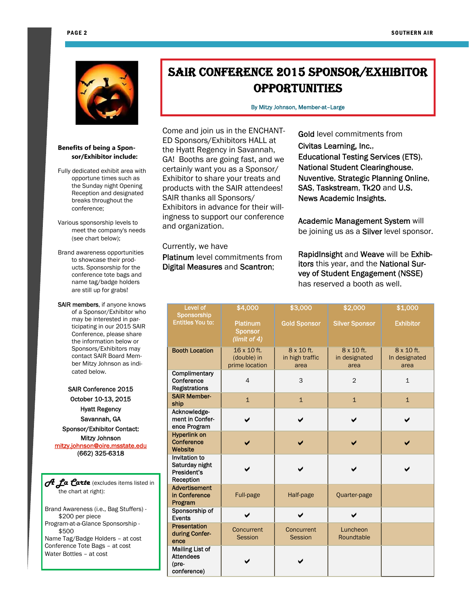

### **Benefits of being a Sponsor/Exhibitor include:**

- Fully dedicated exhibit area with opportune times such as the Sunday night Opening Reception and designated breaks throughout the conference;
- Various sponsorship levels to meet the company's needs (see chart below);

Brand awareness opportunities to showcase their products. Sponsorship for the conference tote bags and name tag/badge holders are still up for grabs!

SAIR members, if anyone knows of a Sponsor/Exhibitor who may be interested in participating in our 2015 SAIR Conference, please share the information below or Sponsors/Exhibitors may contact SAIR Board Member Mitzy Johnson as indicated below.

SAIR Conference 2015 October 10-13, 2015 Hyatt Regency Savannah, GA Sponsor/Exhibitor Contact: Mitzy Johnson mitzy.johnson@oire.msstate.edu (662) 325-6318

*A La Carte* (excludes items listed in the chart at right):

Brand Awareness (i.e., Bag Stuffers) - \$200 per piece Program-at-a-Glance Sponsorship - \$500 Name Tag/Badge Holders – at cost Conference Tote Bags – at cost Water Bottles – at cost

# SAIR CONFERENCE 2015 SPONSOR/EXHIBITOR OPPORTUNITIES

By Mitzy Johnson, Member-at–Large

Come and join us in the ENCHANT-ED Sponsors/Exhibitors HALL at the Hyatt Regency in Savannah, GA! Booths are going fast, and we certainly want you as a Sponsor/ Exhibitor to share your treats and products with the SAIR attendees! SAIR thanks all Sponsors/ Exhibitors in advance for their willingness to support our conference and organization.

Gold level commitments from Civitas Learning, Inc., Educational Testing Services (ETS), National Student Clearinghouse, Nuventive, Strategic Planning Online, SAS, Taskstream, Tk20 and U.S. News Academic Insights.

Academic Management System will be joining us as a Silver level sponsor.

Currently, we have

Platinum level commitments from Digital Measures and Scantron;

RapidInsight and Weave will be Exhibitor*s* this year, and the National Survey of Student Engagement (NSSE) has reserved a booth as well.

| <b>Level of</b>                                                    | \$4,000                                              | \$3,000<br>\$2,000                                                           |                        | \$1,000                             |  |  |
|--------------------------------------------------------------------|------------------------------------------------------|------------------------------------------------------------------------------|------------------------|-------------------------------------|--|--|
| Sponsorship<br><b>Entitles You to:</b>                             | <b>Platinum</b><br><b>Sponsor</b><br>(limit of $4$ ) | <b>Gold Sponsor</b>                                                          | <b>Silver Sponsor</b>  | <b>Exhibitor</b>                    |  |  |
| <b>Booth Location</b>                                              | 16 x 10 ft.<br>(double) in<br>prime location         | 8 x 10 ft.<br>8 x 10 ft.<br>in high traffic<br>in designated<br>area<br>area |                        | 8 x 10 ft.<br>In designated<br>area |  |  |
| Complimentary<br>Conference<br><b>Registrations</b>                | $\overline{4}$                                       | 3                                                                            | $\overline{2}$         | $\mathbf{1}$                        |  |  |
| <b>SAIR Member-</b><br>ship                                        | $\mathbf{1}$                                         | $\overline{1}$                                                               | $\overline{1}$         | $\mathbf{1}$                        |  |  |
| Acknowledge-<br>ment in Confer-<br>ence Program                    |                                                      |                                                                              |                        |                                     |  |  |
| <b>Hyperlink</b> on<br>Conference<br>Website                       |                                                      |                                                                              |                        |                                     |  |  |
| Invitation to<br>Saturday night<br>President's<br>Reception        |                                                      |                                                                              |                        |                                     |  |  |
| <b>Advertisement</b><br>in Conference<br>Program                   | Full-page                                            | Half-page                                                                    | Quarter-page           |                                     |  |  |
| Sponsorship of<br><b>Events</b>                                    | ✔                                                    | $\checkmark$                                                                 | ✔                      |                                     |  |  |
| Presentation<br>during Confer-<br>ence                             | Concurrent<br>Session                                | Concurrent<br>Session                                                        | Luncheon<br>Roundtable |                                     |  |  |
| <b>Mailing List of</b><br><b>Attendees</b><br>(pre-<br>conference) |                                                      |                                                                              |                        |                                     |  |  |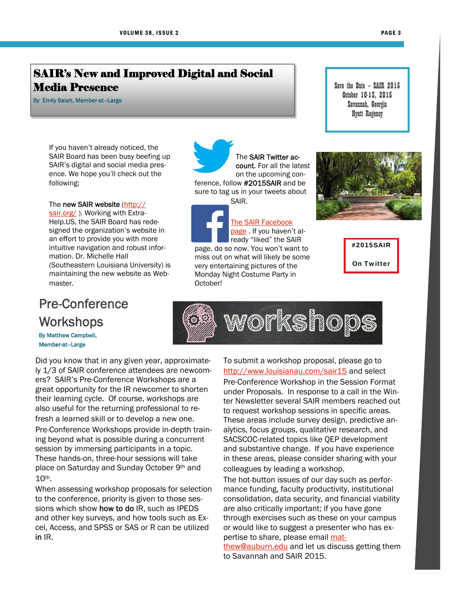#### PAGE 3

### SAIR's New and Improved Digital and Social Media Presence

By Emily Saleh, Member-at–Large

If you haven't already noticed, the SAIR Board has been busy beefing up SAIR's digital and social media presence. We hope you'll check out the following:

#### The new SAIR website (http://

sair.org/). Working with Extra-Help.US, the SAIR Board has redesigned the organization's website in an effort to provide you with more intuitive navigation and robust information. Dr. Michelle Hall (Southeastern Louisiana University) is maintaining the new website as Webmaster.

# Pre-Conference **Workshops** By Matthew Campbell,

Member-at–Large

Did you know that in any given year, approximately 1/3 of SAIR conference attendees are newcomers? SAIR's Pre-Conference Workshops are a great opportunity for the IR newcomer to shorten their learning cycle. Of course, workshops are also useful for the returning professional to refresh a learned skill or to develop a new one. Pre-Conference Workshops provide in-depth training beyond what is possible during a concurrent session by immersing participants in a topic. These hands-on, three-hour sessions will take place on Saturday and Sunday October 9th and 10th.

When assessing workshop proposals for selection to the conference, priority is given to those sessions which show **how to do** IR, such as IPEDS and other key surveys, and how tools such as Excel, Access, and SPSS or SAS or R can be utilized in IR.

The SAIR Twitter account. For all the latest on the upcoming conference, follow #2015SAIR and be sure to tag us in your tweets about SAIR.

The SAIR Facebook page . If you haven't already "liked" the SAIR page, do so now. You won't want to miss out on what will likely be some very entertaining pictures of the Monday Night Costume Party in October!

Save the Date — SAIR 2015 October 10-13, 2015 Savannah, Georgia Hyatt Regency



#2015SAIR On Twitter



To submit a workshop proposal, please go to http://www.louisianau.com/sair15 and select Pre-Conference Workshop in the Session Format under Proposals. In response to a call in the Winter Newsletter several SAIR members reached out to request workshop sessions in specific areas. These areas include survey design, predictive analytics, focus groups, qualitative research, and SACSCOC-related topics like QEP development and substantive change. If you have experience in these areas, please consider sharing with your colleagues by leading a workshop.

The hot-button issues of our day such as performance funding, faculty productivity, institutional consolidation, data security, and financial viability are also critically important; if you have gone through exercises such as these on your campus or would like to suggest a presenter who has expertise to share, please email mat-

thew@auburn.edu and let us discuss getting them to Savannah and SAIR 2015.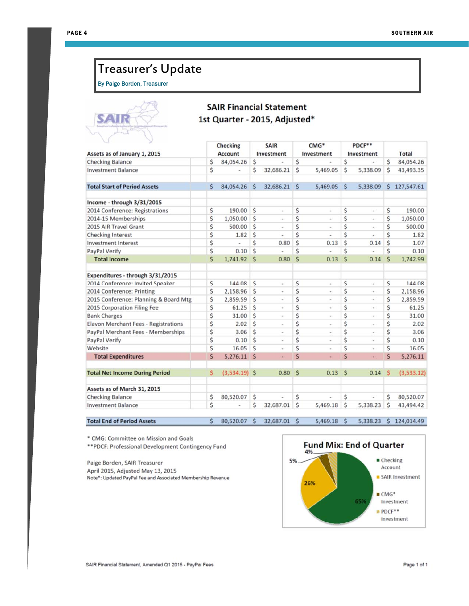# Treasurer's Update

By Paige Borden, Treasurer



### **SAIR Financial Statement** 1st Quarter - 2015, Adjusted\*

| w<br>Assets as of January 1, 2015           |    | <b>Checking</b><br>Account |    | <b>SAIR</b><br>Investment                                                                                                         |                    | CMG <sup>*</sup><br>Investment |                    | PDCF**<br>Investment     |                         | <b>Total</b> |
|---------------------------------------------|----|----------------------------|----|-----------------------------------------------------------------------------------------------------------------------------------|--------------------|--------------------------------|--------------------|--------------------------|-------------------------|--------------|
| <b>Checking Balance</b>                     | \$ | 84,054.26                  | \$ |                                                                                                                                   | \$                 |                                | \$                 |                          | \$                      | 84,054.26    |
| <b>Investment Balance</b>                   | \$ |                            | Ś  | 32,686.21                                                                                                                         | Ś                  | 5,469.05                       | Ś                  | 5,338.09                 | Ś                       | 43,493.35    |
| <b>Total Start of Period Assets</b>         | \$ | 84,054.26                  | Ś  | 32,686.21                                                                                                                         | Ŝ                  | 5,469.05                       | Ŝ                  | 5,338.09                 | \$.                     | 127,547.61   |
| Income - through 3/31/2015                  |    |                            |    |                                                                                                                                   |                    |                                |                    |                          |                         |              |
| 2014 Conference: Registrations              | \$ | 190.00                     | Ś  | $\overline{\phantom{a}}$                                                                                                          | \$                 | $\overline{\phantom{a}}$       | \$                 | $\frac{1}{2}$            | \$                      | 190.00       |
| 2014-15 Memberships                         | \$ | 1,050.00                   | Ś  | $\overline{\phantom{a}}$                                                                                                          | \$                 |                                | Ś                  | $\overline{\phantom{a}}$ | \$                      | 1,050.00     |
| 2015 AIR Travel Grant                       | \$ | 500.00                     | Ś  | $\,$                                                                                                                              | \$                 | $\alpha$                       | Ś                  | $\scriptstyle\rm m$      | \$                      | 500.00       |
| <b>Checking Interest</b>                    | \$ | 1.82                       | Ś  | ٠                                                                                                                                 | Ś                  |                                | Ś                  | ×.                       | Ś                       | 1.82         |
| <b>Investment Interest</b>                  | \$ |                            | Ś  | 0.80                                                                                                                              | Ś                  | 0.13                           | Ś                  | 0.14                     | Ś                       | 1.07         |
| PayPal Verify                               | \$ | 0.10                       | Ś  | $\overline{a}$                                                                                                                    | Ś                  |                                | Ś                  |                          | Ś                       | 0.10         |
| <b>Total Income</b>                         | \$ | 1,741.92                   | Ś  | 0.80                                                                                                                              | Ś                  | 0.13                           | $\mathsf{\hat{S}}$ | 0.14                     | $\mathsf{\hat{S}}$      | 1,742.99     |
| Expenditures - through 3/31/2015            |    |                            |    |                                                                                                                                   |                    |                                |                    |                          |                         |              |
| 2014 Conference: Invited Speaker            | \$ | 144.08                     | Ś  | $\frac{1}{2}$                                                                                                                     | \$                 | ä,                             | Ś                  | ¥                        | Ś                       | 144.08       |
| 2014 Conference: Printing                   | \$ | 2,158.96                   | Ś  | $\overline{\phantom{a}}$                                                                                                          | \$                 | $\blacksquare$                 | Ś                  | $\overline{a}$           | \$                      | 2,158.96     |
| 2015 Conference: Planning & Board Mtg       | \$ | 2,859.59                   | \$ | $\overline{\phantom{a}}$                                                                                                          | \$                 | ä,                             | Ś                  | $\overline{\phantom{a}}$ | \$                      | 2,859.59     |
| 2015 Corporation Filing Fee                 | \$ | 61.25                      | Ś  | $\overline{a}$                                                                                                                    | \$                 | à.                             | Ś                  | ä                        | \$                      | 61.25        |
| <b>Bank Charges</b>                         | \$ | 31.00                      | Ś  | $\begin{array}{c} \begin{array}{c} \begin{array}{c} \begin{array}{c} \end{array} \end{array} \end{array} \end{array} \end{array}$ | \$                 | $\overline{a}$                 | Ś                  | ×,                       | \$                      | 31.00        |
| <b>Elavon Merchant Fees - Registrations</b> | \$ | 2.02                       | Ś  | $\sim$                                                                                                                            | \$                 | $\overline{\phantom{a}}$       | Ś                  | $\overline{\phantom{a}}$ | \$                      | 2.02         |
| PayPal Merchant Fees - Memberships          | \$ | 3.06                       | Ś  | $\overline{\phantom{a}}$                                                                                                          | \$                 | i.                             | Ś                  | $\overline{\phantom{a}}$ | \$                      | 3.06         |
| PayPal Verify                               | \$ | 0.10                       | Ś  | $\overline{\phantom{a}}$                                                                                                          | \$                 | $\blacksquare$                 | Ś                  | $\omega$                 | \$                      | 0.10         |
| Website                                     | \$ | 16.05                      | Ś  |                                                                                                                                   | \$                 |                                | Ś                  | i.                       | \$                      | 16.05        |
| <b>Total Expenditures</b>                   | \$ | 5,276.11                   | Ś  | ٠                                                                                                                                 | Ś                  | ٠                              | Ś                  | $\overline{\phantom{a}}$ | $\overline{\mathsf{S}}$ | 5,276.11     |
| <b>Total Net Income During Period</b>       | Ś  | $(3,534.19)$ \$            |    | 0.80                                                                                                                              | $\mathsf{\hat{S}}$ | 0.13                           | Ś                  | 0.14                     | s                       | (3,533.12)   |
| Assets as of March 31, 2015                 |    |                            |    |                                                                                                                                   |                    |                                |                    |                          |                         |              |
| <b>Checking Balance</b>                     | \$ | 80,520.07                  | Ś  |                                                                                                                                   | \$                 |                                | \$                 |                          | Ś                       | 80,520.07    |
| <b>Investment Balance</b>                   | Ś  |                            | \$ | 32,687.01                                                                                                                         | \$                 | 5,469.18                       | Ś                  | 5,338.23                 | Ŝ                       | 43,494.42    |
| <b>Total End of Period Assets</b>           | Ś  | 80,520.07                  | S  | 32,687.01                                                                                                                         | Ŝ                  | 5,469.18                       | Ś                  | 5,338.23                 | Ś                       | 124,014.49   |

\* CMG: Committee on Mission and Goals

\*\* PDCF: Professional Development Contingency Fund

Paige Borden, SAIR Treasurer April 2015, Adjusted May 13, 2015 Note\*: Updated PayPal Fee and Associated Membership Revenue

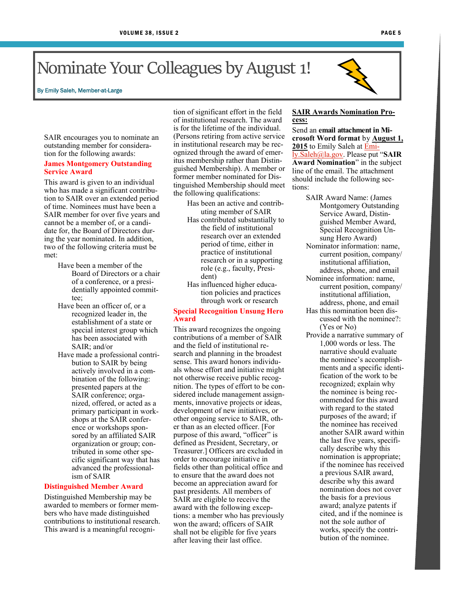### By Emily Saleh, Member-at-Large

SAIR encourages you to nominate an outstanding member for consideration for the following awards:

### **James Montgomery Outstanding Service Award**

This award is given to an individual who has made a significant contribution to SAIR over an extended period of time. Nominees must have been a SAIR member for over five years and cannot be a member of, or a candidate for, the Board of Directors during the year nominated. In addition, two of the following criteria must be met:

- Have been a member of the Board of Directors or a chair of a conference, or a presidentially appointed committee;
- Have been an officer of, or a recognized leader in, the establishment of a state or special interest group which has been associated with SAIR; and/or
- Have made a professional contribution to SAIR by being actively involved in a combination of the following: presented papers at the SAIR conference; organized, offered, or acted as a primary participant in workshops at the SAIR conference or workshops sponsored by an affiliated SAIR organization or group; contributed in some other specific significant way that has advanced the professionalism of SAIR

### **Distinguished Member Award**

Distinguished Membership may be awarded to members or former members who have made distinguished contributions to institutional research. This award is a meaningful recognition of significant effort in the field of institutional research. The award is for the lifetime of the individual. (Persons retiring from active service in institutional research may be recognized through the award of emeritus membership rather than Distinguished Membership). A member or former member nominated for Distinguished Membership should meet the following qualifications:

Has been an active and contributing member of SAIR

- Has contributed substantially to the field of institutional research over an extended period of time, either in practice of institutional research or in a supporting role (e.g., faculty, President)
- Has influenced higher education policies and practices through work or research

### **Special Recognition Unsung Hero Award**

This award recognizes the ongoing contributions of a member of SAIR and the field of institutional research and planning in the broadest sense. This award honors individuals whose effort and initiative might not otherwise receive public recognition. The types of effort to be considered include management assignments, innovative projects or ideas, development of new initiatives, or other ongoing service to SAIR, other than as an elected officer. [For purpose of this award, "officer" is defined as President, Secretary, or Treasurer.] Officers are excluded in order to encourage initiative in fields other than political office and to ensure that the award does not become an appreciation award for past presidents. All members of SAIR are eligible to receive the award with the following exceptions: a member who has previously won the award; officers of SAIR shall not be eligible for five years after leaving their last office.

### **SAIR Awards Nomination Process:**

Send an **email attachment in Microsoft Word format** by **August 1,**  2015 to Emily Saleh at **Emi**ly.Saleh@la.gov. Please put "**SAIR Award Nomination**" in the subject line of the email. The attachment should include the following sections:

- SAIR Award Name: (James Montgomery Outstanding Service Award, Distinguished Member Award, Special Recognition Unsung Hero Award)
- Nominator information: name, current position, company/ institutional affiliation, address, phone, and email
- Nominee information: name, current position, company/ institutional affiliation, address, phone, and email
- Has this nomination been discussed with the nominee?: (Yes or No)
- Provide a narrative summary of 1,000 words or less. The narrative should evaluate the nominee's accomplishments and a specific identification of the work to be recognized; explain why the nominee is being recommended for this award with regard to the stated purposes of the award; if the nominee has received another SAIR award within the last five years, specifically describe why this nomination is appropriate; if the nominee has received a previous SAIR award, describe why this award nomination does not cover the basis for a previous award; analyze patents if cited, and if the nominee is not the sole author of works, specify the contribution of the nominee.



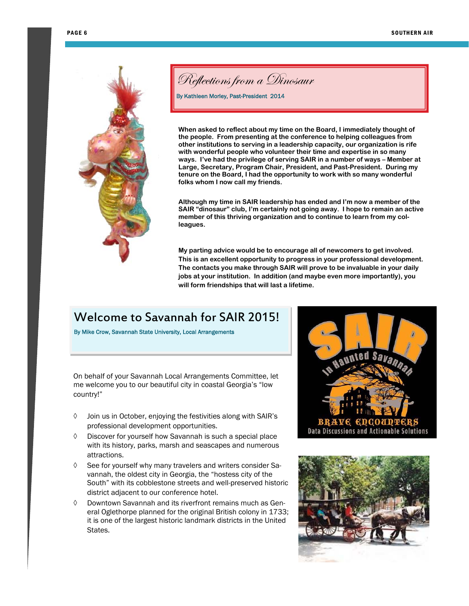

Reflections from a Dinosaur

By Kathleen Morley, Past-President 2014

**When asked to reflect about my time on the Board, I immediately thought of the people. From presenting at the conference to helping colleagues from other institutions to serving in a leadership capacity, our organization is rife with wonderful people who volunteer their time and expertise in so many ways. I've had the privilege of serving SAIR in a number of ways – Member at Large, Secretary, Program Chair, President, and Past-President. During my tenure on the Board, I had the opportunity to work with so many wonderful folks whom I now call my friends.** 

**Although my time in SAIR leadership has ended and I'm now a member of the SAIR "dinosaur" club, I'm certainly not going away. I hope to remain an active member of this thriving organization and to continue to learn from my colleagues.** 

**My parting advice would be to encourage all of newcomers to get involved. This is an excellent opportunity to progress in your professional development. The contacts you make through SAIR will prove to be invaluable in your daily jobs at your institution. In addition (and maybe even more importantly), you will form friendships that will last a lifetime.** 

# Welcome to Savannah for SAIR 2015!

By Mike Crow, Savannah State University, Local Arrangements

On behalf of your Savannah Local Arrangements Committee, let me welcome you to our beautiful city in coastal Georgia's "low country!"

- Join us in October, enjoying the festivities along with SAIR's professional development opportunities.
- $\Diamond$  Discover for yourself how Savannah is such a special place with its history, parks, marsh and seascapes and numerous attractions.
- $\Diamond$  See for yourself why many travelers and writers consider Savannah, the oldest city in Georgia, the "hostess city of the South" with its cobblestone streets and well-preserved historic district adjacent to our conference hotel.
- $\lozenge$  Downtown Savannah and its riverfront remains much as General Oglethorpe planned for the original British colony in 1733; it is one of the largest historic landmark districts in the United **States**



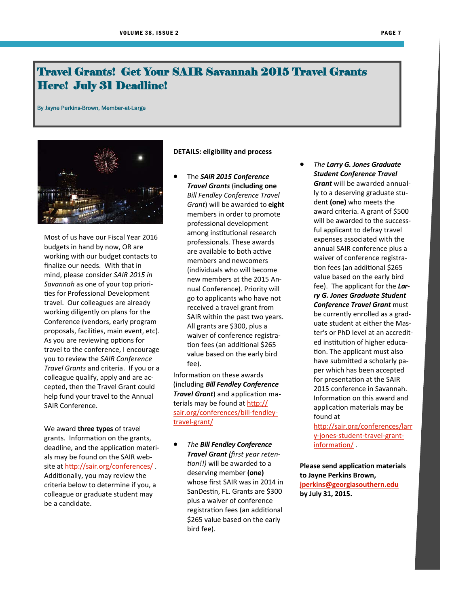## Travel Grants! Get Your SAIR Savannah 2015 Travel Grants Here! July 31 Deadline!

By Jayne Perkins-Brown, Member-at-Large



Most of us have our Fiscal Year 2016 budgets in hand by now, OR are working with our budget contacts to finalize our needs. With that in mind, please consider *SAIR 2015 in Savannah* as one of your top priorities for Professional Development travel. Our colleagues are already working diligently on plans for the Conference (vendors, early program proposals, faciliƟes, main event, etc). As you are reviewing options for travel to the conference, I encourage you to review the *SAIR Conference Travel Grants* and criteria. If you or a colleague qualify, apply and are accepted, then the Travel Grant could help fund your travel to the Annual SAIR Conference.

We award **three types** of travel grants. Information on the grants, deadline, and the application materials may be found on the SAIR website at http://sair.org/conferences/. Additionally, you may review the criteria below to determine if you, a colleague or graduate student may be a candidate.

### **DETAILS: eligibility and process**

 The *SAIR 2015 Conference Travel Grants* (**including one** *Bill Fendley Conference Travel Grant*) will be awarded to **eight** members in order to promote professional development among institutional research professionals. These awards are available to both active members and newcomers (individuals who will become new members at the 2015 Annual Conference). Priority will go to applicants who have not received a travel grant from SAIR within the past two years. All grants are \$300, plus a waiver of conference registration fees (an additional \$265 value based on the early bird fee).

Information on these awards (including *Bill Fendley Conference Travel Grant*) and application materials may be found at http:// sair.org/conferences/bill-fendleytravel-grant/

 *The Bill Fendley Conference Travel Grant (first year reten-Ɵon!!)* will be awarded to a deserving member **(one)** whose first SAIR was in 2014 in SanDestin, FL. Grants are \$300 plus a waiver of conference registration fees (an additional \$265 value based on the early bird fee).

 *The Larry G. Jones Graduate Student Conference Travel Grant* will be awarded annually to a deserving graduate student **(one)** who meets the award criteria. A grant of \$500 will be awarded to the successful applicant to defray travel expenses associated with the annual SAIR conference plus a waiver of conference registration fees (an additional \$265 value based on the early bird fee). The applicant for the *Larry G. Jones Graduate Student Conference Travel Grant* must be currently enrolled as a graduate student at either the Master's or PhD level at an accredited institution of higher education. The applicant must also have submitted a scholarly paper which has been accepted for presentation at the SAIR 2015 conference in Savannah. Information on this award and application materials may be found at

http://sair.org/conferences/larr y-jones-student-travel-grantinformation/

**Please send applicaƟon materials to Jayne Perkins Brown, jperkins@georgiasouthern.edu by July 31, 2015.**